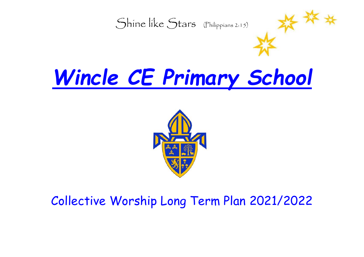

# *Wincle CE Primary School*



#### Collective Worship Long Term Plan 2021/2022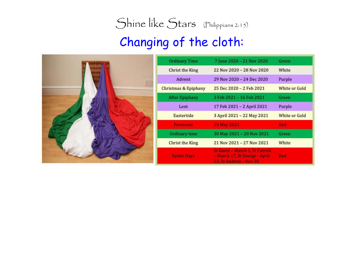## Changing of the cloth:



| <b>Ordinary Time</b>            | 7 June 2020 - 21 Nov 2020                                                                 | Green         |
|---------------------------------|-------------------------------------------------------------------------------------------|---------------|
| Christ the King                 | 22 Nov 2020 - 28 Nov 2020                                                                 | White         |
| Advent                          | 29 Nov 2020 - 24 Dec 2020                                                                 | Purple        |
| <b>Christmas &amp; Epiphany</b> | 25 Dec 2020 - 2 Feb 2021                                                                  | White or Gold |
| <b>After Epiphany</b>           | 3 Feb 2021 - 16 Feb 2021                                                                  | Green         |
| Lent                            | 17 Feb 2021 - 2 April 2021                                                                | Purple        |
| Eastertide                      | 3 April 2021 - 22 May 2021                                                                | White or Gold |
| <b>Pentecost</b>                | 23 May 2021                                                                               | Red           |
| Ordinary time                   | 30 May 2021 - 20 Nov 2021                                                                 | Green         |
| <b>Christ the King</b>          | 21 Nov 2021 - 27 Nov 2021                                                                 | White         |
| <b>Saints Days</b>              | St David - March 1, St Patrick<br>- March 17, St George - April<br>23, St Andrew - Nov 30 | Red           |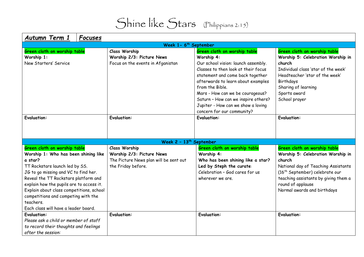| Autumn Term 1<br><b>Focuses</b>                                                                                                                                                                                                                                                                                                                                                       |                                                                                                                   |                                                                                                                                                                                                                                                                                                                                                                      |                                                                                                                                                                                                                                                              |
|---------------------------------------------------------------------------------------------------------------------------------------------------------------------------------------------------------------------------------------------------------------------------------------------------------------------------------------------------------------------------------------|-------------------------------------------------------------------------------------------------------------------|----------------------------------------------------------------------------------------------------------------------------------------------------------------------------------------------------------------------------------------------------------------------------------------------------------------------------------------------------------------------|--------------------------------------------------------------------------------------------------------------------------------------------------------------------------------------------------------------------------------------------------------------|
|                                                                                                                                                                                                                                                                                                                                                                                       | Week 1- 6 <sup>th</sup> September                                                                                 |                                                                                                                                                                                                                                                                                                                                                                      |                                                                                                                                                                                                                                                              |
| Green cloth on worship table<br>Worship 1:<br>New Starters' Service                                                                                                                                                                                                                                                                                                                   | <b>Class Worship</b><br>Worship 2/3: Picture News<br>Focus on the events in Afganistan                            | Green cloth on worship table<br>Worship 4:<br>Our school vision: launch assembly.<br>Classes to then look at their focus<br>statement and come back together<br>afterwards to learn about examples<br>from the Bible.<br>Mars - How can we be courageous?<br>Saturn - How can we inspire others?<br>Jupiter - How can we show a loving<br>concern for our community? | Green cloth on worship table<br>Worship 5: Celebration Worship in<br>church<br>Individual class 'star of the week'<br>Headteacher 'star of the week'<br>Birthdays<br>Sharing of learning<br>Sports award<br>School prayer                                    |
| <b>Evaluation:</b>                                                                                                                                                                                                                                                                                                                                                                    | <b>Evaluation:</b>                                                                                                | <b>Evaluation:</b>                                                                                                                                                                                                                                                                                                                                                   | <b>Evaluation:</b>                                                                                                                                                                                                                                           |
|                                                                                                                                                                                                                                                                                                                                                                                       | Week $2 - 13$ <sup>th</sup> September                                                                             |                                                                                                                                                                                                                                                                                                                                                                      |                                                                                                                                                                                                                                                              |
| Green cloth on worship table<br>Worship 1: Who has been shining like<br>a star?<br>TT Rockstars launch led by SS.<br>JG to go missing and VC to find her.<br>Reveal the TT Rockstars platform and<br>explain how the pupils are to access it.<br>Explain about class competitions, school<br>competitions and competing with the<br>teachers.<br>Each class will have a leader board. | <b>Class Worship</b><br>Worship 2/3: Picture News<br>The Picture News plan will be sent out<br>the Friday before. | Green cloth on worship table<br>Worship 4:<br>Who has been shining like a star?<br>Led by Steph the curate:<br>Celebration - God cares for us<br>wherever we are.                                                                                                                                                                                                    | Green cloth on worship table<br>Worship 5: Celebration Worship in<br>church<br>National day of Teaching Assistants<br>(16 <sup>th</sup> September) celebrate our<br>teaching assistants by giving them a<br>round of applause<br>Normal awards and birthdays |
| <b>Evaluation:</b><br>Please ask a child or member of staff<br>to record their thoughts and feelings<br>after the session:                                                                                                                                                                                                                                                            | <b>Evaluation:</b>                                                                                                | <b>Evaluation:</b>                                                                                                                                                                                                                                                                                                                                                   | <b>Evaluation:</b>                                                                                                                                                                                                                                           |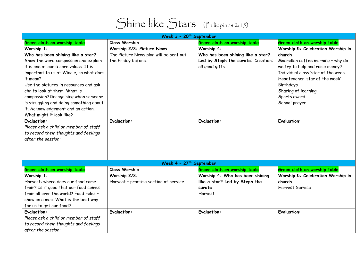

| Week 3 - 20 <sup>th</sup> September     |                                        |                                    |                                     |
|-----------------------------------------|----------------------------------------|------------------------------------|-------------------------------------|
| Green cloth on worship table            | <b>Class Worship</b>                   | Green cloth on worship table       | Green cloth on worship table        |
| Worship 1:                              | Worship 2/3: Picture News              | Worship 4:                         | Worship 5: Celebration Worship in   |
| Who has been shining like a star?       | The Picture News plan will be sent out | Who has been shining like a star?  | church                              |
| Show the word compassion and explain    | the Friday before.                     | Led by Steph the curate: Creation: | Macmillan coffee morning - why do   |
| it is one of our 5 core values. It is   |                                        | all good gifts.                    | we try to help and raise money?     |
| important to us at Wincle, so what does |                                        |                                    | Individual class 'star of the week' |
| it mean?                                |                                        |                                    | Headteacher 'star of the week'      |
| Use the pictures in resources and ask   |                                        |                                    | Birthdays                           |
| chn to look at them. What is            |                                        |                                    | Sharing of learning                 |
| compassion? Recognising when someone    |                                        |                                    | Sports award                        |
| is struggling and doing something about |                                        |                                    | School prayer                       |
| it. Acknowledgement and an action.      |                                        |                                    |                                     |
| What might it look like?                |                                        |                                    |                                     |
| <b>Evaluation:</b>                      | <b>Evaluation:</b>                     | <b>Evaluation:</b>                 | <b>Evaluation:</b>                  |
| Please ask a child or member of staff   |                                        |                                    |                                     |
| to record their thoughts and feelings   |                                        |                                    |                                     |
| after the session:                      |                                        |                                    |                                     |
|                                         |                                        |                                    |                                     |
|                                         |                                        |                                    |                                     |
|                                         |                                        |                                    |                                     |
|                                         | Week 4 - 27 <sup>th</sup> September    |                                    |                                     |
| Green cloth on worship table            | <b>Class Worship</b>                   | Green cloth on worship table       | Green cloth on worship table        |
| Worship 1:                              | Worship 2/3:                           | Worship 4: Who has been shining    | Worship 5: Celebration Worship in   |
| Harvest: where does our food come       | Harvest - practise section of service. | like a star? Led by Steph the      | church                              |
| from? Is it good that our food comes    |                                        | curate                             | <b>Harvest Service</b>              |
| from all over the world? Food miles -   |                                        | <b>Harvest</b>                     |                                     |
| show on a map. What is the best way     |                                        |                                    |                                     |
| for us to get our food?                 |                                        |                                    |                                     |
| <b>Evaluation:</b>                      | <b>Evaluation:</b>                     | <b>Evaluation:</b>                 | <b>Evaluation:</b>                  |
| Please ask a child or member of staff   |                                        |                                    |                                     |
| to record their thoughts and feelings   |                                        |                                    |                                     |
| after the session:                      |                                        |                                    |                                     |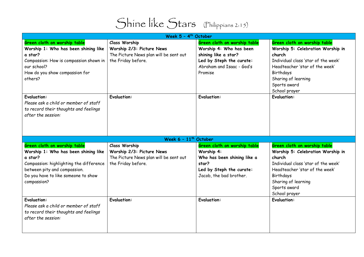

|                                                                                                                            | Week 5 - 4 <sup>th</sup> October       |                              |                                     |
|----------------------------------------------------------------------------------------------------------------------------|----------------------------------------|------------------------------|-------------------------------------|
| Green cloth on worship table                                                                                               | <b>Class Worship</b>                   | Green cloth on worship table | Green cloth on worship table        |
| Worship 1: Who has been shining like                                                                                       | Worship 2/3: Picture News              | Worship 4: Who has been      | Worship 5: Celebration Worship in   |
| a star?                                                                                                                    | The Picture News plan will be sent out | shining like a star?         | church                              |
| Compassion: How is compassion shown in                                                                                     | the Friday before.                     | Led by Steph the curate:     | Individual class 'star of the week' |
| our school?                                                                                                                |                                        | Abraham and Isaac - God's    | Headteacher 'star of the week'      |
| How do you show compassion for                                                                                             |                                        | Promise                      | Birthdays                           |
| others?                                                                                                                    |                                        |                              | Sharing of learning                 |
|                                                                                                                            |                                        |                              | Sports award                        |
|                                                                                                                            |                                        |                              | School prayer                       |
| <b>Evaluation:</b><br>Please ask a child or member of staff<br>to record their thoughts and feelings<br>after the session: | <b>Evaluation:</b>                     | <b>Evaluation:</b>           | <b>Evaluation:</b>                  |
|                                                                                                                            | Week $6 - 11$ <sup>th</sup> October    |                              |                                     |
| Green cloth on worship table                                                                                               | <b>Class Worship</b>                   | Green cloth on worship table | Green cloth on worship table        |
| Worship 1: Who has been shining like                                                                                       | Worship 2/3: Picture News              | Worship 4:                   | Worship 5: Celebration Worship in   |
| a star?                                                                                                                    | The Picture News plan will be sent out | Who has been shining like a  | church                              |
| Compassion: highlighting the difference                                                                                    | the Friday before.                     | star?                        | Individual class 'star of the week' |
| between pity and compassion.                                                                                               |                                        | Led by Steph the curate:     | Headteacher 'star of the week'      |
| Do you have to like someone to show                                                                                        |                                        | Jacob, the bad brother.      | Birthdays                           |
| compassion?                                                                                                                |                                        |                              | Sharing of learning                 |
|                                                                                                                            |                                        |                              | Sports award                        |
|                                                                                                                            |                                        |                              | School prayer                       |
| <b>Evaluation:</b><br>Please ask a child or member of staff<br>to record their thoughts and feelings<br>after the session: | <b>Evaluation:</b>                     | <b>Evaluation:</b>           | <b>Evaluation:</b>                  |
|                                                                                                                            |                                        |                              |                                     |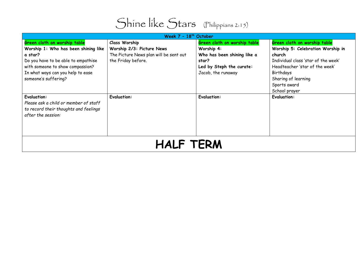

| Week $7 - 18th$ October                                                                                                    |                                        |                              |                                     |  |
|----------------------------------------------------------------------------------------------------------------------------|----------------------------------------|------------------------------|-------------------------------------|--|
| Green cloth on worship table                                                                                               | <b>Class Worship</b>                   | Green cloth on worship table | Green cloth on worship table        |  |
| Worship 1: Who has been shining like                                                                                       | Worship 2/3: Picture News              | Worship 4:                   | Worship 5: Celebration Worship in   |  |
| a star?                                                                                                                    | The Picture News plan will be sent out | Who has been shining like a  | church                              |  |
| Do you have to be able to empathise                                                                                        | the Friday before.                     | star?                        | Individual class 'star of the week' |  |
| with someone to show compassion?                                                                                           |                                        | Led by Steph the curate:     | Headteacher 'star of the week'      |  |
| In what ways can you help to ease                                                                                          |                                        | Jacob, the runaway           | Birthdays                           |  |
| someone's suffering?                                                                                                       |                                        |                              | Sharing of learning                 |  |
|                                                                                                                            |                                        |                              | Sports award                        |  |
|                                                                                                                            |                                        |                              | School prayer                       |  |
| <b>Evaluation:</b><br>Please ask a child or member of staff<br>to record their thoughts and feelings<br>after the session: | <b>Evaluation:</b>                     | <b>Evaluation:</b>           | <b>Evaluation:</b>                  |  |
| <b>HALF TERM</b>                                                                                                           |                                        |                              |                                     |  |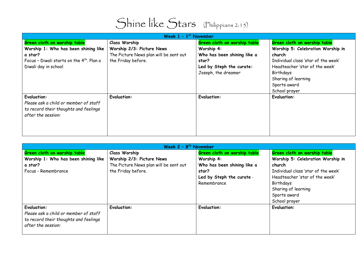

| Week $1 - 1$ <sup>st</sup> November                                                                                                                 |                                                                                                                   |                                                                                                                                       |                                                                                                                                                                                                                           |
|-----------------------------------------------------------------------------------------------------------------------------------------------------|-------------------------------------------------------------------------------------------------------------------|---------------------------------------------------------------------------------------------------------------------------------------|---------------------------------------------------------------------------------------------------------------------------------------------------------------------------------------------------------------------------|
| Green cloth on worship table<br>Worship 1: Who has been shining like<br>a star?<br>Focus - Diwali starts on the 4th. Plan a<br>Diwali day in school | <b>Class Worship</b><br>Worship 2/3: Picture News<br>The Picture News plan will be sent out<br>the Friday before. | Green cloth on worship table<br>Worship 4:<br>Who has been shining like a<br>star?<br>Led by Steph the curate:<br>Joseph, the dreamer | Green cloth on worship table<br>Worship 5: Celebration Worship in<br>church<br>Individual class 'star of the week'<br>Headteacher 'star of the week'<br>Birthdays<br>Sharing of learning<br>Sports award<br>School prayer |
| <b>Evaluation:</b><br>Please ask a child or member of staff<br>to record their thoughts and feelings<br>after the session:                          | <b>Evaluation:</b>                                                                                                | <b>Evaluation:</b>                                                                                                                    | <b>Evaluation:</b>                                                                                                                                                                                                        |

| Week $2 - 8$ <sup>th</sup> November   |                                        |                              |                                     |
|---------------------------------------|----------------------------------------|------------------------------|-------------------------------------|
| Green cloth on worship table          | <b>Class Worship</b>                   | Green cloth on worship table | Green cloth on worship table        |
| Worship 1: Who has been shining like  | Worship 2/3: Picture News              | Worship 4:                   | Worship 5: Celebration Worship in   |
| a star?                               | The Picture News plan will be sent out | Who has been shining like a  | church                              |
| Focus - Remembrance                   | the Friday before.                     | star?                        | Individual class 'star of the week' |
|                                       |                                        | Led by Steph the curate -    | Headteacher 'star of the week'      |
|                                       |                                        | Remembrance                  | Birthdays                           |
|                                       |                                        |                              | Sharing of learning                 |
|                                       |                                        |                              | Sports award                        |
|                                       |                                        |                              | School prayer                       |
| <b>Evaluation:</b>                    | <b>Evaluation:</b>                     | <b>Evaluation:</b>           | <b>Evaluation:</b>                  |
| Please ask a child or member of staff |                                        |                              |                                     |
| to record their thoughts and feelings |                                        |                              |                                     |
| after the session:                    |                                        |                              |                                     |
|                                       |                                        |                              |                                     |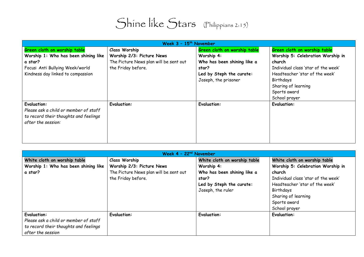| Week $3 - 15$ <sup>th</sup> November                                                                                       |                                        |                              |                                     |
|----------------------------------------------------------------------------------------------------------------------------|----------------------------------------|------------------------------|-------------------------------------|
| Green cloth on worship table                                                                                               | <b>Class Worship</b>                   | Green cloth on worship table | Green cloth on worship table        |
| Worship 1: Who has been shining like                                                                                       | Worship 2/3: Picture News              | Worship 4:                   | Worship 5: Celebration Worship in   |
| a star?                                                                                                                    | The Picture News plan will be sent out | Who has been shining like a  | church                              |
| Focus: Anti Bullying Week/world                                                                                            | the Friday before.                     | star?                        | Individual class 'star of the week' |
| Kindness day linked to compassion                                                                                          |                                        | Led by Steph the curate:     | Headteacher 'star of the week'      |
|                                                                                                                            |                                        | Joseph, the prisoner         | Birthdays                           |
|                                                                                                                            |                                        |                              | Sharing of learning                 |
|                                                                                                                            |                                        |                              | Sports award                        |
|                                                                                                                            |                                        |                              | School prayer                       |
| <b>Evaluation:</b><br>Please ask a child or member of staff<br>to record their thoughts and feelings<br>after the session: | <b>Evaluation:</b>                     | <b>Evaluation:</b>           | <b>Evaluation:</b>                  |

| Week $4 - 22nd$ November              |                                        |                              |                                     |
|---------------------------------------|----------------------------------------|------------------------------|-------------------------------------|
| White cloth on worship table          | <b>Class Worship</b>                   | White cloth on worship table | White cloth on worship table        |
| Worship 1: Who has been shining like  | Worship 2/3: Picture News              | Worship 4:                   | Worship 5: Celebration Worship in   |
| a star?                               | The Picture News plan will be sent out | Who has been shining like a  | church                              |
|                                       | the Friday before.                     | star?                        | Individual class 'star of the week' |
|                                       |                                        | Led by Steph the curate:     | Headteacher 'star of the week'      |
|                                       |                                        | Joseph, the ruler            | Birthdays                           |
|                                       |                                        |                              | Sharing of learning                 |
|                                       |                                        |                              | Sports award                        |
|                                       |                                        |                              | School prayer                       |
| <b>Evaluation:</b>                    | <b>Evaluation:</b>                     | <b>Evaluation:</b>           | <b>Evaluation:</b>                  |
| Please ask a child or member of staff |                                        |                              |                                     |
| to record their thoughts and feelings |                                        |                              |                                     |
| after the session                     |                                        |                              |                                     |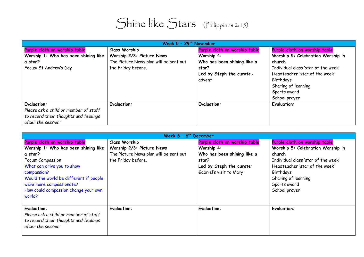| Week $5 - 29$ <sup>th</sup> November  |                                        |                               |                                     |
|---------------------------------------|----------------------------------------|-------------------------------|-------------------------------------|
| Purple cloth on worship table         | <b>Class Worship</b>                   | Purple cloth on worship table | Purple cloth on worship table       |
| Worship 1: Who has been shining like  | Worship 2/3: Picture News              | Worship 4:                    | Worship 5: Celebration Worship in   |
| a star?                               | The Picture News plan will be sent out | Who has been shining like a   | church                              |
| Focus: St Andrew's Day                | the Friday before.                     | star?                         | Individual class 'star of the week' |
|                                       |                                        | Led by Steph the curate -     | Headteacher 'star of the week'      |
|                                       |                                        | advent                        | Birthdays                           |
|                                       |                                        |                               | Sharing of learning                 |
|                                       |                                        |                               | Sports award                        |
|                                       |                                        |                               | School prayer                       |
| <b>Evaluation:</b>                    | <b>Evaluation:</b>                     | <b>Evaluation:</b>            | <b>Evaluation:</b>                  |
| Please ask a child or member of staff |                                        |                               |                                     |
| to record their thoughts and feelings |                                        |                               |                                     |
| after the session:                    |                                        |                               |                                     |

| Week $6 - 6$ <sup>th</sup> December                                                                                                                                                                                                                                        |                                                                                                                   |                                                                                                                                            |                                                                                                                                                                                                                            |
|----------------------------------------------------------------------------------------------------------------------------------------------------------------------------------------------------------------------------------------------------------------------------|-------------------------------------------------------------------------------------------------------------------|--------------------------------------------------------------------------------------------------------------------------------------------|----------------------------------------------------------------------------------------------------------------------------------------------------------------------------------------------------------------------------|
| Purple cloth on worship table<br>Worship 1: Who has been shining like<br>a star?<br>Focus: Compassion<br>What can drive you to show<br>compassion?<br>Would the world be different if people<br>were more compassionate?<br>How could compassion change your own<br>world? | <b>Class Worship</b><br>Worship 2/3: Picture News<br>The Picture News plan will be sent out<br>the Friday before. | Purple cloth on worship table<br>Worship 4:<br>Who has been shining like a<br>star?<br>Led by Steph the curate:<br>Gabriel's visit to Mary | Purple cloth on worship table<br>Worship 5: Celebration Worship in<br>church<br>Individual class 'star of the week'<br>Headteacher 'star of the week'<br>Birthdays<br>Sharing of learning<br>Sports award<br>School prayer |
| <b>Evaluation:</b><br>Please ask a child or member of staff<br>to record their thoughts and feelings<br>after the session:                                                                                                                                                 | <b>Evaluation:</b>                                                                                                | <b>Evaluation:</b>                                                                                                                         | <b>Evaluation:</b>                                                                                                                                                                                                         |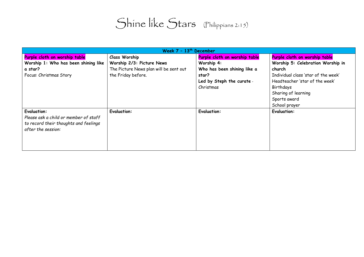| Week $7 - 13th$ December                                                                                                   |                                        |                               |                                     |
|----------------------------------------------------------------------------------------------------------------------------|----------------------------------------|-------------------------------|-------------------------------------|
| Purple cloth on worship table                                                                                              | <b>Class Worship</b>                   | Purple cloth on worship table | Purple cloth on worship table       |
| Worship 1: Who has been shining like                                                                                       | Worship 2/3: Picture News              | Worship 4:                    | Worship 5: Celebration Worship in   |
| a star?                                                                                                                    | The Picture News plan will be sent out | Who has been shining like a   | church                              |
| Focus: Christmas Story                                                                                                     | the Friday before.                     | star?                         | Individual class 'star of the week' |
|                                                                                                                            |                                        | Led by Steph the curate -     | Headteacher 'star of the week'      |
|                                                                                                                            |                                        | Christmas                     | Birthdays                           |
|                                                                                                                            |                                        |                               | Sharing of learning                 |
|                                                                                                                            |                                        |                               | Sports award                        |
|                                                                                                                            |                                        |                               | School prayer                       |
| <b>Evaluation:</b><br>Please ask a child or member of staff<br>to record their thoughts and feelings<br>after the session: | <b>Evaluation:</b>                     | <b>Evaluation:</b>            | <b>Evaluation:</b>                  |
|                                                                                                                            |                                        |                               |                                     |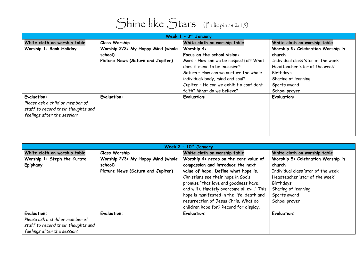

| Week $1 - 3rd$ January             |                                   |                                         |                                     |
|------------------------------------|-----------------------------------|-----------------------------------------|-------------------------------------|
| White cloth on worship table       | <b>Class Worship</b>              | White cloth on worship table            | White cloth on worship table        |
| Worship 1: Bank Holiday            | Worship 2/3: My Happy Mind (whole | Worship 4:                              | Worship 5: Celebration Worship in   |
|                                    | school)                           | Focus on the school vision:             | church                              |
|                                    | Picture News (Saturn and Jupiter) | Mars - How can we be respectful? What   | Individual class 'star of the week' |
|                                    |                                   | does it mean to be inclusive?           | Headteacher 'star of the week'      |
|                                    |                                   | Saturn - How can we nurture the whole   | Birthdays                           |
|                                    |                                   | individual: body, mind and soul?        | Sharing of learning                 |
|                                    |                                   | Jupiter - Ho can we exhibit a confident | Sports award                        |
|                                    |                                   | faith? What do we believe?              | School prayer                       |
| <b>Evaluation:</b>                 | <b>Evaluation:</b>                | <b>Evaluation:</b>                      | <b>Evaluation:</b>                  |
| Please ask a child or member of    |                                   |                                         |                                     |
| staff to record their thoughts and |                                   |                                         |                                     |
| feelings after the session:        |                                   |                                         |                                     |
|                                    |                                   |                                         |                                     |
|                                    |                                   |                                         |                                     |
|                                    |                                   |                                         |                                     |

| Week $2 - 10th$ January            |                                   |                                              |                                     |
|------------------------------------|-----------------------------------|----------------------------------------------|-------------------------------------|
| White cloth on worship table       | <b>Class Worship</b>              | White cloth on worship table                 | White cloth on worship table        |
| Worship 1: Steph the Curate -      | Worship 2/3: My Happy Mind (whole | Worship 4: recap on the core value of        | Worship 5: Celebration Worship in   |
| Epiphany                           | school)                           | compassion and introduce the next            | church                              |
|                                    | Picture News (Saturn and Jupiter) | value of hope. Define what hope is.          | Individual class 'star of the week' |
|                                    |                                   | Christians see their hope in God's           | Headteacher 'star of the week'      |
|                                    |                                   | promise "that love and goodness have,        | Birthdays                           |
|                                    |                                   | and will ultimately overcome all evil." This | Sharing of learning                 |
|                                    |                                   | hope is manifested in the life, death and    | Sports award                        |
|                                    |                                   | resurrection of Jesus Chris. What do         | School prayer                       |
|                                    |                                   | children hope for? Record for display.       |                                     |
| <b>Evaluation:</b>                 | <b>Evaluation:</b>                | <b>Evaluation:</b>                           | <b>Evaluation:</b>                  |
| Please ask a child or member of    |                                   |                                              |                                     |
| staff to record their thoughts and |                                   |                                              |                                     |
| feelings after the session:        |                                   |                                              |                                     |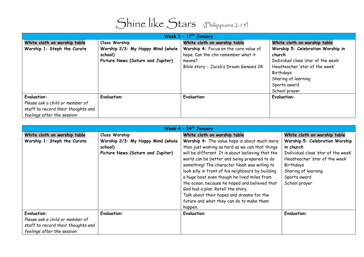| Week $3 - 17$ <sup>th</sup> January |                                   |                                        |                                     |
|-------------------------------------|-----------------------------------|----------------------------------------|-------------------------------------|
| White cloth on worship table        | <b>Class Worship</b>              | White cloth on worship table           | White cloth on worship table        |
| Worship 1: Steph the Curate         | Worship 2/3: My Happy Mind (whole | Worship 4: Focus on the core value of  | Worship 5: Celebration Worship in   |
|                                     | school)                           | hope. Can the chn remember what it     | church                              |
|                                     | Picture News (Saturn and Jupiter) | means?                                 | Individual class 'star of the week' |
|                                     |                                   | Bible story - Jacob's Dream Genesis 28 | Headteacher 'star of the week'      |
|                                     |                                   |                                        | Birthdays                           |
|                                     |                                   |                                        | Sharing of learning                 |
|                                     |                                   |                                        | Sports award                        |
|                                     |                                   |                                        | School prayer                       |
| <b>Evaluation:</b>                  | <b>Evaluation:</b>                | <b>Evaluation:</b>                     | <b>Evaluation:</b>                  |
| Please ask a child or member of     |                                   |                                        |                                     |
| staff to record their thoughts and  |                                   |                                        |                                     |
| feelings after the session:         |                                   |                                        |                                     |

| Week $4 - 24$ <sup>th</sup> January |                                   |                                                   |                                     |
|-------------------------------------|-----------------------------------|---------------------------------------------------|-------------------------------------|
| White cloth on worship table        | <b>Class Worship</b>              | White cloth on worship table                      | White cloth on worship table        |
| Worship 1: Steph the Curate         | Worship 2/3: My Happy Mind (whole | Worship 4: The value hope is about much more      | Worship 5: Celebration Worship      |
|                                     | school)                           | than just wishing as hard as we can that things   | in church                           |
|                                     | Picture News (Saturn and Jupiter) | will be different. It is about believing that the | Individual class 'star of the week' |
|                                     |                                   | world can be better and being prepared to do      | Headteacher 'star of the week'      |
|                                     |                                   | something! The character Noah was willing to      | Birthdays                           |
|                                     |                                   | look silly in front of his neighbours by building | Sharing of learning                 |
|                                     |                                   | a huge boat even though he lived miles from       | Sports award                        |
|                                     |                                   | the ocean, because he hoped and believed that     | School prayer                       |
|                                     |                                   | God had a plan. Retell the story.                 |                                     |
|                                     |                                   | Talk about their hopes and dreams for the         |                                     |
|                                     |                                   | future and what they can do to make them          |                                     |
|                                     |                                   | happen.                                           |                                     |
| <b>Evaluation:</b>                  | <b>Evaluation:</b>                | <b>Evaluation:</b>                                | <b>Evaluation:</b>                  |
| Please ask a child or member of     |                                   |                                                   |                                     |
| staff to record their thoughts and  |                                   |                                                   |                                     |
| feelings after the session:         |                                   |                                                   |                                     |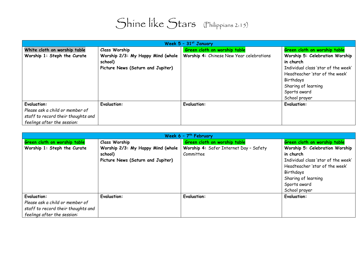| Week 5 - 31st January              |                                   |                                          |                                     |
|------------------------------------|-----------------------------------|------------------------------------------|-------------------------------------|
| White cloth on worship table       | <b>Class Worship</b>              | Green cloth on worship table             | Green cloth on worship table        |
| Worship 1: Steph the Curate        | Worship 2/3: My Happy Mind (whole | Worship 4: Chinese New Year celebrations | Worship 5: Celebration Worship      |
|                                    | school)                           |                                          | in church                           |
|                                    | Picture News (Saturn and Jupiter) |                                          | Individual class 'star of the week' |
|                                    |                                   |                                          | Headteacher 'star of the week'      |
|                                    |                                   |                                          | Birthdays                           |
|                                    |                                   |                                          | Sharing of learning                 |
|                                    |                                   |                                          | Sports award                        |
|                                    |                                   |                                          | School prayer                       |
| <b>Evaluation:</b>                 | <b>Evaluation:</b>                | <b>Evaluation:</b>                       | <b>Evaluation:</b>                  |
| Please ask a child or member of    |                                   |                                          |                                     |
| staff to record their thoughts and |                                   |                                          |                                     |
| feelings after the session:        |                                   |                                          |                                     |

| Week $6 - 7$ <sup>th</sup> February |                                   |                                        |                                     |
|-------------------------------------|-----------------------------------|----------------------------------------|-------------------------------------|
| Green cloth on worship table        | <b>Class Worship</b>              | Green cloth on worship table           | Green cloth on worship table        |
| Worship 1: Steph the Curate         | Worship 2/3: My Happy Mind (whole | Worship 4: Safer Internet Day - Safety | Worship 5: Celebration Worship      |
|                                     | school)                           | Committee                              | in church                           |
|                                     | Picture News (Saturn and Jupiter) |                                        | Individual class 'star of the week' |
|                                     |                                   |                                        | Headteacher 'star of the week'      |
|                                     |                                   |                                        | Birthdays                           |
|                                     |                                   |                                        | Sharing of learning                 |
|                                     |                                   |                                        | Sports award                        |
|                                     |                                   |                                        | School prayer                       |
| <b>Evaluation:</b>                  | <b>Evaluation:</b>                | <b>Evaluation:</b>                     | <b>Evaluation:</b>                  |
| Please ask a child or member of     |                                   |                                        |                                     |
| staff to record their thoughts and  |                                   |                                        |                                     |
| feelings after the session:         |                                   |                                        |                                     |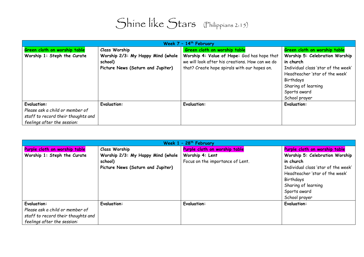| Week $7 - 14$ <sup>th</sup> February |                                   |                                                 |                                     |
|--------------------------------------|-----------------------------------|-------------------------------------------------|-------------------------------------|
| Green cloth on worship table         | <b>Class Worship</b>              | Green cloth on worship table                    | Green cloth on worship table        |
| Worship 1: Steph the Curate          | Worship 2/3: My Happy Mind (whole | Worship 4: Value of Hope: God has hope that     | Worship 5: Celebration Worship      |
|                                      | school)                           | we will look after his creations. How can we do | in church                           |
|                                      | Picture News (Saturn and Jupiter) | that? Create hope spirals with our hopes on.    | Individual class 'star of the week' |
|                                      |                                   |                                                 | Headteacher 'star of the week'      |
|                                      |                                   |                                                 | Birthdays                           |
|                                      |                                   |                                                 | Sharing of learning                 |
|                                      |                                   |                                                 | Sports award                        |
|                                      |                                   |                                                 | School prayer                       |
| <b>Evaluation:</b>                   | <b>Evaluation:</b>                | <b>Evaluation:</b>                              | <b>Evaluation:</b>                  |
| Please ask a child or member of      |                                   |                                                 |                                     |
| staff to record their thoughts and   |                                   |                                                 |                                     |
| feelings after the session:          |                                   |                                                 |                                     |

| Week $1 - 28$ <sup>th</sup> February |                                   |                                  |                                     |
|--------------------------------------|-----------------------------------|----------------------------------|-------------------------------------|
| Purple cloth on worship table        | <b>Class Worship</b>              | Purple cloth on worship table    | Purple cloth on worship table       |
| Worship 1: Steph the Curate          | Worship 2/3: My Happy Mind (whole | Worship 4: Lent                  | Worship 5: Celebration Worship      |
|                                      | school)                           | Focus on the importance of Lent. | in church                           |
|                                      | Picture News (Saturn and Jupiter) |                                  | Individual class 'star of the week' |
|                                      |                                   |                                  | Headteacher 'star of the week'      |
|                                      |                                   |                                  | Birthdays                           |
|                                      |                                   |                                  | Sharing of learning                 |
|                                      |                                   |                                  | Sports award                        |
|                                      |                                   |                                  | School prayer                       |
| <b>Evaluation:</b>                   | <b>Evaluation:</b>                | <b>Evaluation:</b>               | <b>Evaluation:</b>                  |
| Please ask a child or member of      |                                   |                                  |                                     |
| staff to record their thoughts and   |                                   |                                  |                                     |
| feelings after the session:          |                                   |                                  |                                     |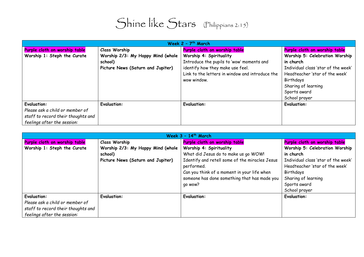| Week $2 - 7$ <sup>th</sup> March   |                                   |                                                 |                                     |
|------------------------------------|-----------------------------------|-------------------------------------------------|-------------------------------------|
| Purple cloth on worship table      | <b>Class Worship</b>              | Purple cloth on worship table                   | Purple cloth on worship table       |
| Worship 1: Steph the Curate        | Worship 2/3: My Happy Mind (whole | Worship 4: Spirituality                         | Worship 5: Celebration Worship      |
|                                    | school)                           | Introduce the pupils to 'wow' moments and       | in church                           |
|                                    | Picture News (Saturn and Jupiter) | identify how they make use feel.                | Individual class 'star of the week' |
|                                    |                                   | Link to the letters in window and introduce the | Headteacher 'star of the week'      |
|                                    |                                   | wow window.                                     | Birthdays                           |
|                                    |                                   |                                                 | Sharing of learning                 |
|                                    |                                   |                                                 | Sports award                        |
|                                    |                                   |                                                 | School prayer                       |
| <b>Evaluation:</b>                 | <b>Evaluation:</b>                | <b>Evaluation:</b>                              | <b>Evaluation:</b>                  |
| Please ask a child or member of    |                                   |                                                 |                                     |
| staff to record their thoughts and |                                   |                                                 |                                     |
| feelings after the session:        |                                   |                                                 |                                     |

| Week $3 - 14$ <sup>th</sup> March  |                                   |                                                |                                     |
|------------------------------------|-----------------------------------|------------------------------------------------|-------------------------------------|
| Purple cloth on worship table      | <b>Class Worship</b>              | Purple cloth on worship table                  | Purple cloth on worship table       |
| Worship 1: Steph the Curate        | Worship 2/3: My Happy Mind (whole | Worship 4: Spirituality                        | Worship 5: Celebration Worship      |
|                                    | school)                           | What did Jesus do to make us go WOW!           | in church                           |
|                                    | Picture News (Saturn and Jupiter) | Identify and retell some of the miracles Jesus | Individual class 'star of the week' |
|                                    |                                   | performed.                                     | Headteacher 'star of the week'      |
|                                    |                                   | Can you think of a moment in your life when    | Birthdays                           |
|                                    |                                   | someone has done something that has made you   | Sharing of learning                 |
|                                    |                                   | qo wow?                                        | Sports award                        |
|                                    |                                   |                                                | School prayer                       |
| <b>Evaluation:</b>                 | <b>Evaluation:</b>                | <b>Evaluation:</b>                             | <b>Evaluation:</b>                  |
| Please ask a child or member of    |                                   |                                                |                                     |
| staff to record their thoughts and |                                   |                                                |                                     |
| feelings after the session:        |                                   |                                                |                                     |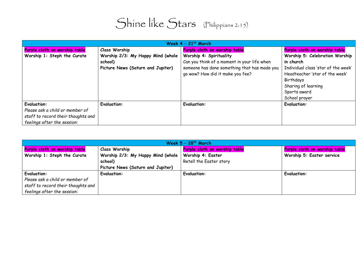| Week $4 - 21$ <sup>st</sup> March  |                                   |                                              |                                     |
|------------------------------------|-----------------------------------|----------------------------------------------|-------------------------------------|
| Purple cloth on worship table      | <b>Class Worship</b>              | Purple cloth on worship table                | Purple cloth on worship table       |
| Worship 1: Steph the Curate        | Worship 2/3: My Happy Mind (whole | Worship 4: Spirituality                      | Worship 5: Celebration Worship      |
|                                    | school)                           | Can you think of a moment in your life when  | in church                           |
|                                    | Picture News (Saturn and Jupiter) | someone has done something that has made you | Individual class 'star of the week' |
|                                    |                                   | go wow? How did it make you fee?             | Headteacher 'star of the week'      |
|                                    |                                   |                                              | Birthdays                           |
|                                    |                                   |                                              | Sharing of learning                 |
|                                    |                                   |                                              | Sports award                        |
|                                    |                                   |                                              | School prayer                       |
| <b>Evaluation:</b>                 | <b>Evaluation:</b>                | <b>Evaluation:</b>                           | <b>Evaluation:</b>                  |
| Please ask a child or member of    |                                   |                                              |                                     |
| staff to record their thoughts and |                                   |                                              |                                     |
| feelings after the session:        |                                   |                                              |                                     |

| Week $5 - 28$ <sup>th</sup> March  |                                   |                               |                               |
|------------------------------------|-----------------------------------|-------------------------------|-------------------------------|
| Purple cloth on worship table      | <b>Class Worship</b>              | Purple cloth on worship table | Purple cloth on worship table |
| Worship 1: Steph the Curate        | Worship 2/3: My Happy Mind (whole | Worship 4: Easter             | Worship 5: Easter service     |
|                                    | school)                           | Retell the Easter story       |                               |
|                                    | Picture News (Saturn and Jupiter) |                               |                               |
| <b>Evaluation:</b>                 | <b>Evaluation:</b>                | <b>Evaluation:</b>            | <b>Evaluation:</b>            |
| Please ask a child or member of    |                                   |                               |                               |
| staff to record their thoughts and |                                   |                               |                               |
| feelings after the session:        |                                   |                               |                               |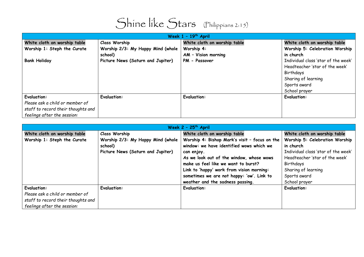| Shine like Stars (Philippians 2:15) |  |
|-------------------------------------|--|
|                                     |  |

| Week $1 - 19$ <sup>th</sup> April  |                                   |                              |                                     |
|------------------------------------|-----------------------------------|------------------------------|-------------------------------------|
| White cloth on worship table       | <b>Class Worship</b>              | White cloth on worship table | White cloth on worship table        |
| Worship 1: Steph the Curate        | Worship 2/3: My Happy Mind (whole | Worship 4:                   | Worship 5: Celebration Worship      |
|                                    | school)                           | AM - Vision morning          | in church                           |
| <b>Bank Holiday</b>                | Picture News (Saturn and Jupiter) | PM - Passover                | Individual class 'star of the week' |
|                                    |                                   |                              | Headteacher 'star of the week'      |
|                                    |                                   |                              | Birthdays                           |
|                                    |                                   |                              | Sharing of learning                 |
|                                    |                                   |                              | Sports award                        |
|                                    |                                   |                              | School prayer                       |
| <b>Evaluation:</b>                 | <b>Evaluation:</b>                | <b>Evaluation:</b>           | <b>Evaluation:</b>                  |
| Please ask a child or member of    |                                   |                              |                                     |
| staff to record their thoughts and |                                   |                              |                                     |
| feelings after the session:        |                                   |                              |                                     |

| Week $2 - 25$ <sup>th</sup> April  |                                   |                                               |                                     |
|------------------------------------|-----------------------------------|-----------------------------------------------|-------------------------------------|
| White cloth on worship table       | <b>Class Worship</b>              | White cloth on worship table                  | White cloth on worship table        |
| Worship 1: Steph the Curate        | Worship 2/3: My Happy Mind (whole | Worship 4: Bishop Mark's visit - focus on the | Worship 5: Celebration Worship      |
|                                    | school)                           | window: we have identified wows which we      | in church                           |
|                                    | Picture News (Saturn and Jupiter) | can enjoy.                                    | Individual class 'star of the week' |
|                                    |                                   | As we look out of the window, whose wows      | Headteacher 'star of the week'      |
|                                    |                                   | make us feel like we want to burst?           | Birthdays                           |
|                                    |                                   | Link to 'happy' work from vision morning:     | Sharing of learning                 |
|                                    |                                   | sometimes we are not happy: 'ow'. Link to     | Sports award                        |
|                                    |                                   | weather and the sadness passing.              | School prayer                       |
| <b>Evaluation:</b>                 | <b>Evaluation:</b>                | <b>Evaluation:</b>                            | <b>Evaluation:</b>                  |
| Please ask a child or member of    |                                   |                                               |                                     |
| staff to record their thoughts and |                                   |                                               |                                     |
| feelings after the session:        |                                   |                                               |                                     |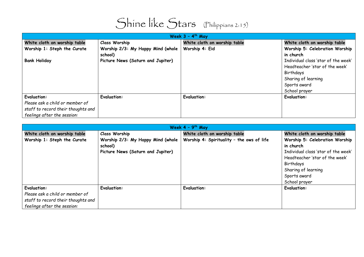

| Week $3 - 4$ <sup>th</sup> May     |                                   |                              |                                     |
|------------------------------------|-----------------------------------|------------------------------|-------------------------------------|
| White cloth on worship table       | <b>Class Worship</b>              | White cloth on worship table | White cloth on worship table        |
| Worship 1: Steph the Curate        | Worship 2/3: My Happy Mind (whole | Worship 4: Eid               | Worship 5: Celebration Worship      |
|                                    | school)                           |                              | in church                           |
| <b>Bank Holiday</b>                | Picture News (Saturn and Jupiter) |                              | Individual class 'star of the week' |
|                                    |                                   |                              | Headteacher 'star of the week'      |
|                                    |                                   |                              | Birthdays                           |
|                                    |                                   |                              | Sharing of learning                 |
|                                    |                                   |                              | Sports award                        |
|                                    |                                   |                              | School prayer                       |
| <b>Evaluation:</b>                 | <b>Evaluation:</b>                | <b>Evaluation:</b>           | <b>Evaluation:</b>                  |
| Please ask a child or member of    |                                   |                              |                                     |
| staff to record their thoughts and |                                   |                              |                                     |
| feelings after the session:        |                                   |                              |                                     |

| Week $4 - 9$ <sup>th</sup> May     |                                   |                                           |                                     |
|------------------------------------|-----------------------------------|-------------------------------------------|-------------------------------------|
| White cloth on worship table       | <b>Class Worship</b>              | White cloth on worship table              | White cloth on worship table        |
| Worship 1: Steph the Curate        | Worship 2/3: My Happy Mind (whole | Worship 4: Spirituality - the ows of life | Worship 5: Celebration Worship      |
|                                    | school)                           |                                           | in church                           |
|                                    | Picture News (Saturn and Jupiter) |                                           | Individual class 'star of the week' |
|                                    |                                   |                                           | Headteacher 'star of the week'      |
|                                    |                                   |                                           | Birthdays                           |
|                                    |                                   |                                           | Sharing of learning                 |
|                                    |                                   |                                           | Sports award                        |
|                                    |                                   |                                           | School prayer                       |
| <b>Evaluation:</b>                 | <b>Evaluation:</b>                | <b>Evaluation:</b>                        | <b>Evaluation:</b>                  |
| Please ask a child or member of    |                                   |                                           |                                     |
| staff to record their thoughts and |                                   |                                           |                                     |
| feelings after the session:        |                                   |                                           |                                     |